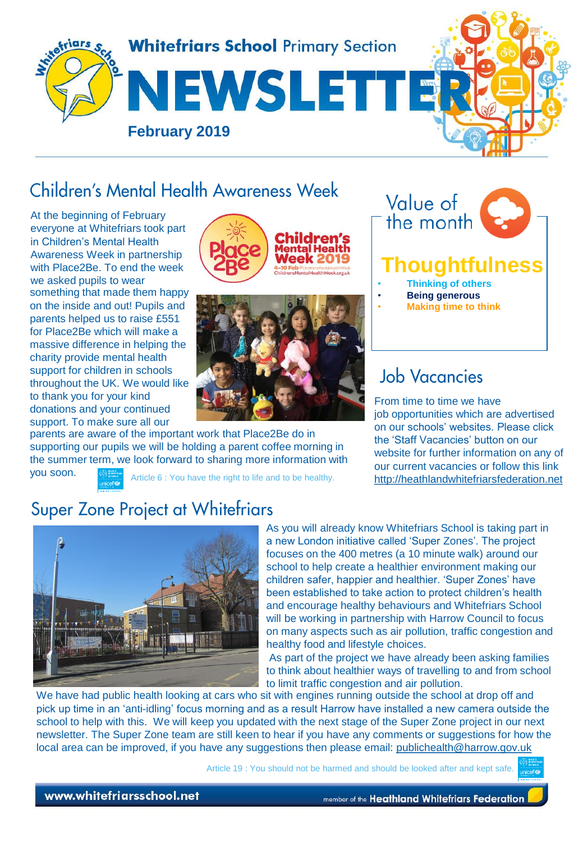

# Children's Mental Health Awareness Week

At the beginning of February everyone at Whitefriars took part in Children's Mental Health Awareness Week in partnership with Place2Be. To end the week we asked pupils to wear something that made them happy on the inside and out! Pupils and parents helped us to raise £551 for Place2Be which will make a massive difference in helping the charity provide mental health support for children in schools throughout the UK. We would like to thank you for your kind donations and your continued support. To make sure all our





parents are aware of the important work that Place2Be do in supporting our pupils we will be holding a parent coffee morning in the summer term, we look forward to sharing more information with



# **Job Vacancies**

From time to time we have job opportunities which are advertised on our schools' websites. Please click the 'Staff Vacancies' button on our website for further information on any of our current vacancies or follow this link [http://heathlandwhitefriarsfederation.net](http://heathlandwhitefriarsfederation.net/)

you soon.

Article 6 : You have the right to life and to be healthy.

## **Super Zone Project at Whitefriars**



As you will already know Whitefriars School is taking part in a new London initiative called 'Super Zones'. The project focuses on the 400 metres (a 10 minute walk) around our school to help create a healthier environment making our children safer, happier and healthier. 'Super Zones' have been established to take action to protect children's health and encourage healthy behaviours and Whitefriars School will be working in partnership with Harrow Council to focus on many aspects such as air pollution, traffic congestion and healthy food and lifestyle choices.

As part of the project we have already been asking families to think about healthier ways of travelling to and from school to limit traffic congestion and air pollution.

We have had public health looking at cars who sit with engines running outside the school at drop off and pick up time in an 'anti-idling' focus morning and as a result Harrow have installed a new camera outside the school to help with this. We will keep you updated with the next stage of the Super Zone project in our next newsletter. The Super Zone team are still keen to hear if you have any comments or suggestions for how the local area can be improved, if you have any suggestions then please email: [publichealth@harrow.gov.uk](mailto:publichealth@harrow.gov.uk)

Article 19 : You should not be harmed and should be looked after and kept safe.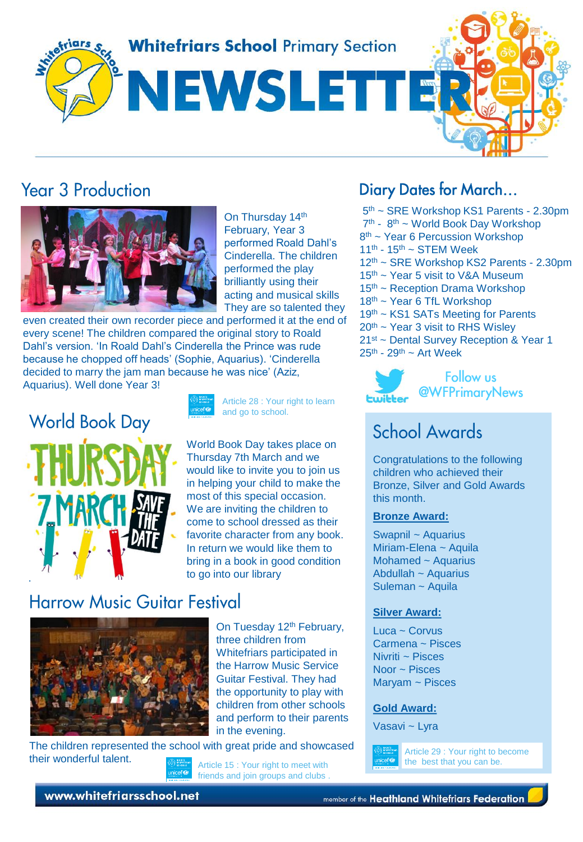**Whitefriars School Primary Section** 

NEWSLETT

# **Year 3 Production**



On Thursday 14th February, Year 3 performed Roald Dahl's Cinderella. The children performed the play brilliantly using their acting and musical skills They are so talented they

even created their own recorder piece and performed it at the end of every scene! The children compared the original story to Roald Dahl's version. 'In Roald Dahl's Cinderella the Prince was rude because he chopped off heads' (Sophie, Aquarius). 'Cinderella decided to marry the jam man because he was nice' (Aziz, Aquarius). Well done Year 3!



Article 28 : Your right to learn and go to school.

[W](https://www.google.co.uk/url?sa=i&rct=j&q=&esrc=s&source=images&cd=&cad=rja&uact=8&ved=2ahUKEwjw_uS-5dvgAhV6A2MBHf19DO8QjRx6BAgBEAU&url=https%3A%2F%2Fwww.worldbookday.com%2F&psig=AOvVaw3eMaKkt0peVio9vzFoCHNe&ust=1551352736911324)orld Book Day takes place on Thursday 7th March and we would like to invite you to join us in helping your child to make the most of this special occasion. We are inviting the children to come to school dressed as their favorite character from any book. In return we would like them to bring in a book in good condition to go into our library

# **Harrow Music Guitar Festival**



On Tuesday 12<sup>th</sup> February, three children from Whitefriars participated in the Harrow Music Service Guitar Festival. They had the opportunity to play with children from other schools and perform to their parents in the evening.

The children represented the school with great pride and showcased their wonderful talent.<br> **Article 15 : Your right to meet with** 

friends and join groups and clubs .

### **Diary Dates for March...**

- 5<sup>th</sup> ~ SRE Workshop KS1 Parents 2.30pm
- 7<sup>th</sup> 8<sup>th</sup> ~ World Book Day Workshop
- 8<sup>th</sup> ~ Year 6 Percussion Workshop
- $11<sup>th</sup> 15<sup>th</sup> \sim$  STEM Week
- 12th ~ SRE Workshop KS2 Parents 2.30pm
- 15th ~ Year 5 visit to V&A Museum
- 15<sup>th</sup> ~ Reception Drama Workshop
- 18<sup>th</sup> ~ Year 6 TfL Workshop
- 19<sup>th</sup> ~ KS1 SATs Meeting for Parents
- $20<sup>th</sup>$  ~ Year 3 visit to RHS Wislev
- 21st ~ Dental Survey Reception & Year 1
- $25<sup>th</sup> 29<sup>th</sup> Art Week$



# **School Awards**

Congratulations to the following children who achieved their Bronze, Silver and Gold Awards this month.

#### **Bronze Award:**

Swapnil ~ Aquarius Miriam-Elena ~ Aquila Mohamed ~ Aquarius Abdullah ~ Aquarius Suleman ~ Aquila

### **Silver Award:**

Luca ~ Corvus Carmena ~ Pisces Nivriti ~ Pisces Noor ~ Pisces Maryam ~ Pisces

#### **Gold Award:**

Vasavi ~ Lyra



Article 29 : Your right to become the best that you can be.

www.whitefriarsschool.net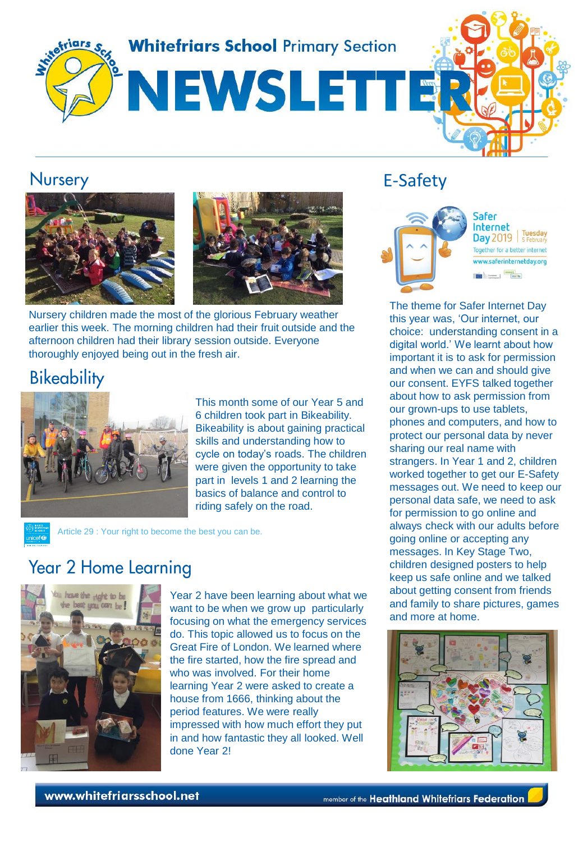

### **Nursery**





Nursery children made the most of the glorious February weather earlier this week. The morning children had their fruit outside and the afternoon children had their library session outside. Everyone thoroughly enjoyed being out in the fresh air.

## **Bikeability**



This month some of our Year 5 and 6 children took part in Bikeability. Bikeability is about gaining practical skills and understanding how to cycle on today's roads. The children were given the opportunity to take part in levels 1 and 2 learning the basics of balance and control to riding safely on the road.

Article 29 : Your right to become the best you can be.

## **Year 2 Home Learning**



Year 2 have been learning about what we want to be when we grow up particularly focusing on what the emergency services do. This topic allowed us to focus on the Great Fire of London. We learned where the fire started, how the fire spread and who was involved. For their home learning Year 2 were asked to create a house from 1666, thinking about the period features. We were really impressed with how much effort they put in and how fantastic they all looked. Well done Year 2!

### E-Safety



Safer Internet Day 2019 | Tuesday Together for a better internet www.saferinternetday.org **District Contract (District)** 

[The theme for Safer Internet Day](https://www.google.co.uk/url?sa=i&rct=j&q=&esrc=s&source=images&cd=&cad=rja&uact=8&ved=2ahUKEwjGp7fmkNzgAhUPohQKHZ5gC-oQjRx6BAgBEAU&url=https%3A%2F%2Fwww.webwise.ie%2Fsaferinternetday%2F&psig=AOvVaw3V9eEc3adCac9ft9DYBvlC&ust=1551364338128048)  this year was, 'Our internet, our choice: understanding consent in a digital world.' We learnt about how important it is to ask for permission and when we can and should give our consent. EYFS talked together about how to ask permission from our grown-ups to use tablets, phones and computers, and how to protect our personal data by never sharing our real name with strangers. In Year 1 and 2, children worked together to get our E-Safety messages out. We need to keep our personal data safe, we need to ask for permission to go online and always check with our adults before going online or accepting any messages. In Key Stage Two, children designed posters to help keep us safe online and we talked about getting consent from friends and family to share pictures, games and more at home.